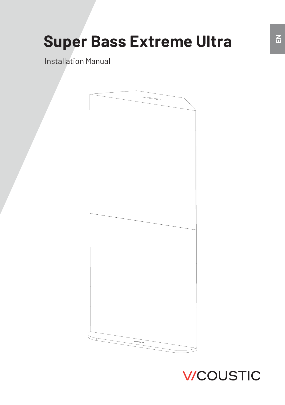## **Super Bass Extreme Ultra**

Installation Manual



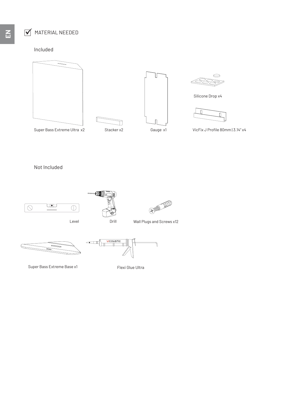## $\overrightarrow{M}$  MATERIAL NEEDED

Included









Silicone Drop x4



VicFix J Profile 80mm | 3.14" x4

Super Bass Extreme Ultra x2 Stacker x2 Gauge x1

Stacker x2

Not Included



Level Drill



 $\frac{1}{\sqrt{1-\frac{1}{2}}}\sqrt{\frac{1}{2}}$ 



```
Wall Plugs and Screws x12
```


Super Bass Extreme Base x1

Flexi Glue Ultra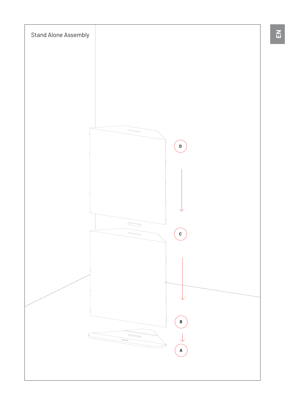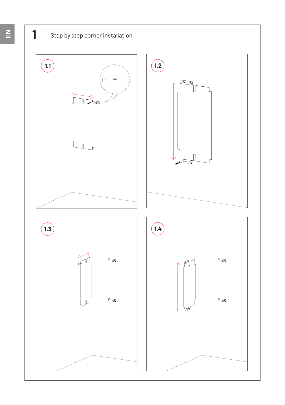



**EN**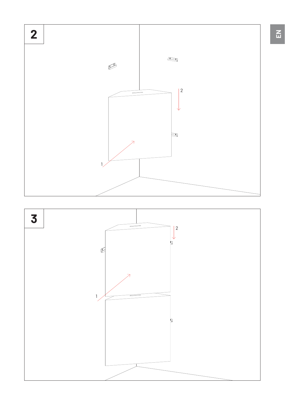

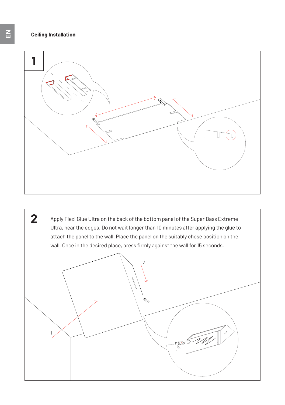

Apply Flexi Glue Ultra on the back of the bottom panel of the Super Bass Extreme Ultra, near the edges. Do not wait longer than 10 minutes after applying the glue to attach the panel to the wall. Place the panel on the suitably chose position on the wall. Once in the desired place, press firmly against the wall for 15 seconds. 1 0 **2**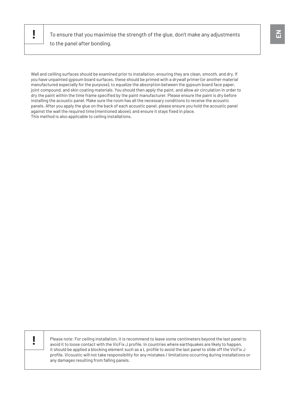**!** To ensure that you maximise the strength of the glue, don't make any adjustments to the panel after bonding.

Wall and ceilling surfaces should be examined prior to installation, ensuring they are clean, smooth, and dry. If you have unpainted gypsum board surfaces, these should be primed with a drywall primer (or another material manufactured especially for the purpose), to equalize the absorption between the gypsum board face paper, joint compound, and skin coating materials. You should then apply the paint, and allow air circulation in order to dry the paint within the time frame specified by the paint manufacturer. Please ensure the paint is dry before installing the acoustic panel. Make sure the room has all the necessary conditions to receive the acoustic panels. After you apply the glue on the back of each acoustic panel, please ensure you hold the acoustic panel against the wall the required time (mentioned above), and ensure it stays fixed in place. This method is also applicable to ceiling installations.



**|** Please note: For ceiling installation, it is recommend to leave some centimeters beyond the last panel to avoid it to loose contact with the VicFix J profile. In countries where earthquakes are likely to happen, it should be applied a blocking element such as a L profile to avoid the last panel to slide off the VicFix J profile. Vicoustic will not take responsibility for any mistakes / limitations occurring during installations or any damages resulting from falling panels.